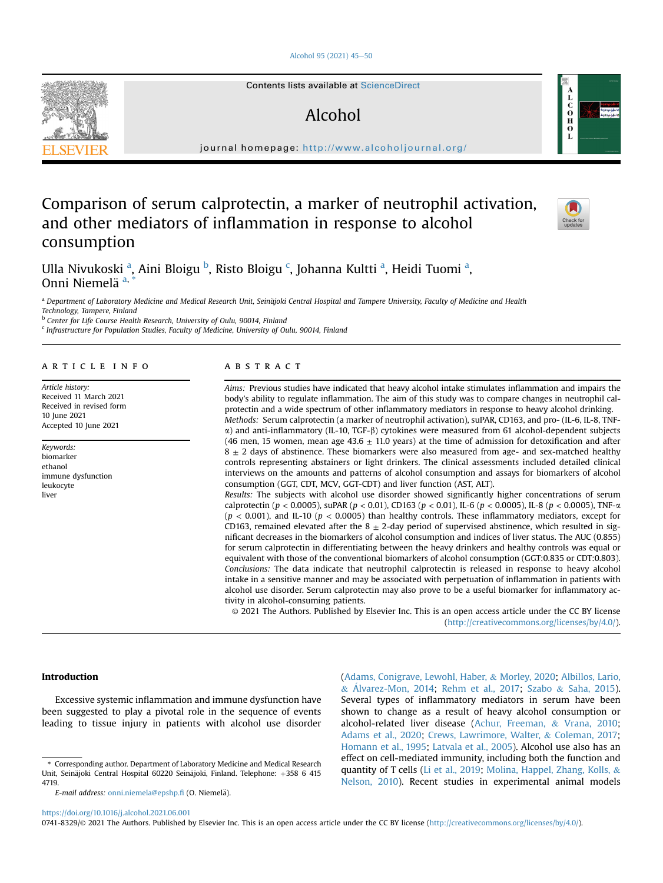## [Alcohol 95 \(2021\) 45](https://doi.org/10.1016/j.alcohol.2021.06.001)-[50](https://doi.org/10.1016/j.alcohol.2021.06.001)

Contents lists available at ScienceDirect

# Alcohol

journal homepage: <http://www.alcoholjournal.org/>

## Comparison of serum calprotectin, a marker of neutrophil activation, and other mediators of inflammation in response to alcohol consumption



 $\mathbf{C}$ <br> $\mathbf{O}$ <br> $\mathbf{H}$ 

 $\mathbf{0}$ <br>L

Ull[a](#page-0-0) Nivukoski <sup>a</sup>, Aini Bloigu <sup>[b](#page-0-1)</sup>, Risto Bloigu <sup>[c](#page-0-2)</sup>, Johanna Kultti <sup>a</sup>, Heidi Tuomi <sup>a</sup>, Onni Niemelä [a](#page-0-0),

<span id="page-0-0"></span>a Department of Laboratory Medicine and Medical Research Unit, Seinäjoki Central Hospital and Tampere University, Faculty of Medicine and Health Technology, Tampere, Finland

<span id="page-0-1"></span>**b** Center for Life Course Health Research, University of Oulu, 90014, Finland

<span id="page-0-2"></span> $c$  Infrastructure for Population Studies, Faculty of Medicine, University of Oulu, 90014, Finland

#### article info

Article history: Received 11 March 2021 Received in revised form 10 June 2021 Accepted 10 June 2021

Keywords: biomarker ethanol immune dysfunction leukocyte liver

## **ABSTRACT**

Aims: Previous studies have indicated that heavy alcohol intake stimulates inflammation and impairs the body's ability to regulate inflammation. The aim of this study was to compare changes in neutrophil calprotectin and a wide spectrum of other inflammatory mediators in response to heavy alcohol drinking. Methods: Serum calprotectin (a marker of neutrophil activation), suPAR, CD163, and pro- (IL-6, IL-8, TNF- $\alpha$ ) and anti-inflammatory (IL-10, TGF- $\beta$ ) cytokines were measured from 61 alcohol-dependent subjects (46 men, 15 women, mean age 43.6  $\pm$  11.0 years) at the time of admission for detoxification and after  $8 \pm 2$  days of abstinence. These biomarkers were also measured from age- and sex-matched healthy controls representing abstainers or light drinkers. The clinical assessments included detailed clinical interviews on the amounts and patterns of alcohol consumption and assays for biomarkers of alcohol consumption (GGT, CDT, MCV, GGT-CDT) and liver function (AST, ALT). Results: The subjects with alcohol use disorder showed significantly higher concentrations of serum calprotectin ( $p < 0.0005$ ), suPAR ( $p < 0.01$ ), CD163 ( $p < 0.01$ ), IL-6 ( $p < 0.0005$ ), IL-8 ( $p < 0.0005$ ), TNF- $\alpha$  $(p < 0.001)$ , and IL-10 ( $p < 0.0005$ ) than healthy controls. These inflammatory mediators, except for

CD163, remained elevated after the  $8 \pm 2$ -day period of supervised abstinence, which resulted in significant decreases in the biomarkers of alcohol consumption and indices of liver status. The AUC (0.855) for serum calprotectin in differentiating between the heavy drinkers and healthy controls was equal or equivalent with those of the conventional biomarkers of alcohol consumption (GGT:0.835 or CDT:0.803). Conclusions: The data indicate that neutrophil calprotectin is released in response to heavy alcohol intake in a sensitive manner and may be associated with perpetuation of inflammation in patients with alcohol use disorder. Serum calprotectin may also prove to be a useful biomarker for inflammatory activity in alcohol-consuming patients.

© 2021 The Authors. Published by Elsevier Inc. This is an open access article under the CC BY license [\(http://creativecommons.org/licenses/by/4.0/](http://creativecommons.org/licenses/by/4.0/)).

## Introduction

Excessive systemic inflammation and immune dysfunction have been suggested to play a pivotal role in the sequence of events leading to tissue injury in patients with alcohol use disorder

E-mail address: [onni.niemela@epshp.](mailto:onni.niemela@epshp.fi)fi (O. Niemelä).

([Adams, Conigrave, Lewohl, Haber,](#page-4-0) & [Morley, 2020](#page-4-0); [Albillos, Lario,](#page-4-1) & Á[lvarez-Mon, 2014](#page-4-1); [Rehm et al., 2017](#page-5-0); [Szabo](#page-5-1) & [Saha, 2015\)](#page-5-1). Several types of inflammatory mediators in serum have been shown to change as a result of heavy alcohol consumption or alcohol-related liver disease ([Achur, Freeman,](#page-4-2) & [Vrana, 2010;](#page-4-2) [Adams et al., 2020;](#page-4-0) [Crews, Lawrimore, Walter,](#page-5-2) & [Coleman, 2017;](#page-5-2) [Homann et al., 1995](#page-5-3); [Latvala et al., 2005\)](#page-5-4). Alcohol use also has an effect on cell-mediated immunity, including both the function and quantity of T cells ([Li et al., 2019;](#page-5-5) [Molina, Happel, Zhang, Kolls,](#page-5-6) & [Nelson, 2010\)](#page-5-6). Recent studies in experimental animal models

<https://doi.org/10.1016/j.alcohol.2021.06.001>

0741-8329/© 2021 The Authors. Published by Elsevier Inc. This is an open access article under the CC BY license [\(http://creativecommons.org/licenses/by/4.0/\)](http://creativecommons.org/licenses/by/4.0/).



<span id="page-0-3"></span><sup>\*</sup> Corresponding author. Department of Laboratory Medicine and Medical Research Unit, Seinäjoki Central Hospital 60220 Seinäjoki, Finland. Telephone: +358 6 415 4719.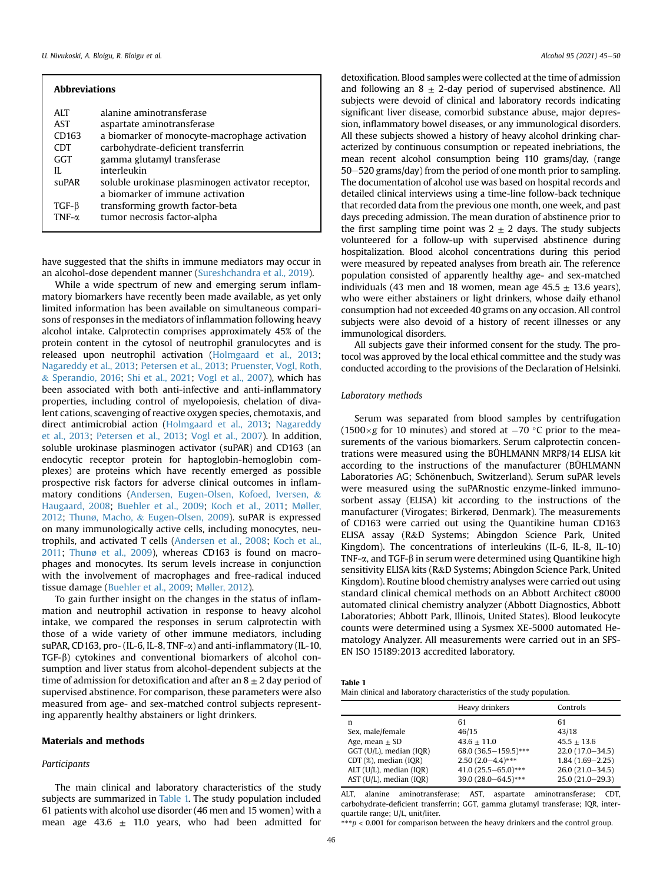| <b>Abbreviations</b> |                                                   |  |  |  |  |
|----------------------|---------------------------------------------------|--|--|--|--|
| <b>ALT</b>           | alanine aminotransferase                          |  |  |  |  |
| AST                  | aspartate aminotransferase                        |  |  |  |  |
| CD163                | a biomarker of monocyte-macrophage activation     |  |  |  |  |
| <b>CDT</b>           | carbohydrate-deficient transferrin                |  |  |  |  |
| GGT                  | gamma glutamyl transferase                        |  |  |  |  |
| Н.                   | interleukin                                       |  |  |  |  |
| suPAR                | soluble urokinase plasminogen activator receptor, |  |  |  |  |
|                      | a biomarker of immune activation                  |  |  |  |  |
| $TGF-\beta$          | transforming growth factor-beta                   |  |  |  |  |
| TNF- $\alpha$        | tumor necrosis factor-alpha                       |  |  |  |  |

have suggested that the shifts in immune mediators may occur in an alcohol-dose dependent manner [\(Sureshchandra et al., 2019](#page-5-7)).

While a wide spectrum of new and emerging serum inflammatory biomarkers have recently been made available, as yet only limited information has been available on simultaneous comparisons of responses in the mediators of inflammation following heavy alcohol intake. Calprotectin comprises approximately 45% of the protein content in the cytosol of neutrophil granulocytes and is released upon neutrophil activation [\(Holmgaard et al., 2013;](#page-5-8) [Nagareddy et al., 2013](#page-5-9); [Petersen et al., 2013](#page-5-10); [Pruenster, Vogl, Roth,](#page-5-11) & [Sperandio, 2016](#page-5-11); [Shi et al., 2021;](#page-5-12) [Vogl et al., 2007](#page-5-13)), which has been associated with both anti-infective and anti-inflammatory properties, including control of myelopoiesis, chelation of divalent cations, scavenging of reactive oxygen species, chemotaxis, and direct antimicrobial action [\(Holmgaard et al., 2013;](#page-5-8) [Nagareddy](#page-5-9) [et al., 2013](#page-5-9); [Petersen et al., 2013](#page-5-10); [Vogl et al., 2007\)](#page-5-13). In addition, soluble urokinase plasminogen activator (suPAR) and CD163 (an endocytic receptor protein for haptoglobin-hemoglobin complexes) are proteins which have recently emerged as possible prospective risk factors for adverse clinical outcomes in inflammatory conditions [\(Andersen, Eugen-Olsen, Kofoed, Iversen,](#page-4-3) & [Haugaard, 2008;](#page-4-3) [Buehler et al., 2009](#page-4-4); [Koch et al., 2011;](#page-5-14) [M](#page-5-15)ø[ller,](#page-5-15) [2012;](#page-5-15) [Thunø, Macho,](#page-5-16) & [Eugen-Olsen, 2009\)](#page-5-16). suPAR is expressed on many immunologically active cells, including monocytes, neutrophils, and activated T cells ([Andersen et al., 2008;](#page-4-3) [Koch et al.,](#page-5-14) [2011](#page-5-14); [Thun](#page-5-16)ø [et al., 2009\)](#page-5-16), whereas CD163 is found on macrophages and monocytes. Its serum levels increase in conjunction with the involvement of macrophages and free-radical induced tissue damage [\(Buehler et al., 2009;](#page-4-4) [Møller, 2012](#page-5-15)).

To gain further insight on the changes in the status of inflammation and neutrophil activation in response to heavy alcohol intake, we compared the responses in serum calprotectin with those of a wide variety of other immune mediators, including suPAR, CD163, pro- (IL-6, IL-8, TNF-a) and anti-inflammatory (IL-10, TGF-b) cytokines and conventional biomarkers of alcohol consumption and liver status from alcohol-dependent subjects at the time of admission for detoxification and after an  $8 \pm 2$  day period of supervised abstinence. For comparison, these parameters were also measured from age- and sex-matched control subjects representing apparently healthy abstainers or light drinkers.

#### Materials and methods

#### Participants

The main clinical and laboratory characteristics of the study subjects are summarized in [Table 1.](#page-1-0) The study population included 61 patients with alcohol use disorder (46 men and 15 women) with a mean age 43.6  $\pm$  11.0 years, who had been admitted for

detoxification. Blood samples were collected at the time of admission and following an  $8 \pm 2$ -day period of supervised abstinence. All subjects were devoid of clinical and laboratory records indicating significant liver disease, comorbid substance abuse, major depression, inflammatory bowel diseases, or any immunological disorders. All these subjects showed a history of heavy alcohol drinking characterized by continuous consumption or repeated inebriations, the mean recent alcohol consumption being 110 grams/day, (range  $50-520$  grams/day) from the period of one month prior to sampling. The documentation of alcohol use was based on hospital records and detailed clinical interviews using a time-line follow-back technique that recorded data from the previous one month, one week, and past days preceding admission. The mean duration of abstinence prior to the first sampling time point was  $2 \pm 2$  days. The study subjects volunteered for a follow-up with supervised abstinence during hospitalization. Blood alcohol concentrations during this period were measured by repeated analyses from breath air. The reference population consisted of apparently healthy age- and sex-matched individuals (43 men and 18 women, mean age  $45.5 \pm 13.6$  years), who were either abstainers or light drinkers, whose daily ethanol consumption had not exceeded 40 grams on any occasion. All control subjects were also devoid of a history of recent illnesses or any immunological disorders.

All subjects gave their informed consent for the study. The protocol was approved by the local ethical committee and the study was conducted according to the provisions of the Declaration of Helsinki.

## Laboratory methods

Serum was separated from blood samples by centrifugation  $(1500 \times g$  for 10 minutes) and stored at  $-70$  °C prior to the measurements of the various biomarkers. Serum calprotectin concentrations were measured using the BÜHLMANN MRP8/14 ELISA kit according to the instructions of the manufacturer (BÜHLMANN Laboratories AG; Schönenbuch, Switzerland). Serum suPAR levels were measured using the suPARnostic enzyme-linked immunosorbent assay (ELISA) kit according to the instructions of the manufacturer (Virogates; Birkerød, Denmark). The measurements of CD163 were carried out using the Quantikine human CD163 ELISA assay (R&D Systems; Abingdon Science Park, United Kingdom). The concentrations of interleukins (IL-6, IL-8, IL-10) TNF- $\alpha$ , and TGF- $\beta$  in serum were determined using Quantikine high sensitivity ELISA kits (R&D Systems; Abingdon Science Park, United Kingdom). Routine blood chemistry analyses were carried out using standard clinical chemical methods on an Abbott Architect c8000 automated clinical chemistry analyzer (Abbott Diagnostics, Abbott Laboratories; Abbott Park, Illinois, United States). Blood leukocyte counts were determined using a Sysmex XE-5000 automated Hematology Analyzer. All measurements were carried out in an SFS-EN ISO 15189:2013 accredited laboratory.

<span id="page-1-0"></span>

| а<br>н<br> |
|------------|
|------------|

Main clinical and laboratory characteristics of the study population.

|                         | Heavy drinkers       | Controls            |
|-------------------------|----------------------|---------------------|
| n                       | 61                   | 61                  |
| Sex, male/female        | 46/15                | 43/18               |
| Age, mean $\pm$ SD      | $43.6 + 11.0$        | $45.5 + 13.6$       |
| GGT (U/L), median (IQR) | 68.0 (36.5-159.5)*** | $22.0(17.0 - 34.5)$ |
| CDT (%), median (IQR)   | $2.50(2.0-4.4)$ ***  | $1.84(1.69 - 2.25)$ |
| ALT (U/L), median (IQR) | 41.0 (25.5-65.0)***  | $26.0(21.0-34.5)$   |
| AST (U/L), median (IQR) | 39.0 (28.0-64.5)***  | $25.0(21.0-29.3)$   |

ALT, alanine aminotransferase; AST, aspartate aminotransferase; CDT, carbohydrate-deficient transferrin; GGT, gamma glutamyl transferase; IQR, interquartile range; U/L, unit/liter.

\*\*\* $p < 0.001$  for comparison between the heavy drinkers and the control group.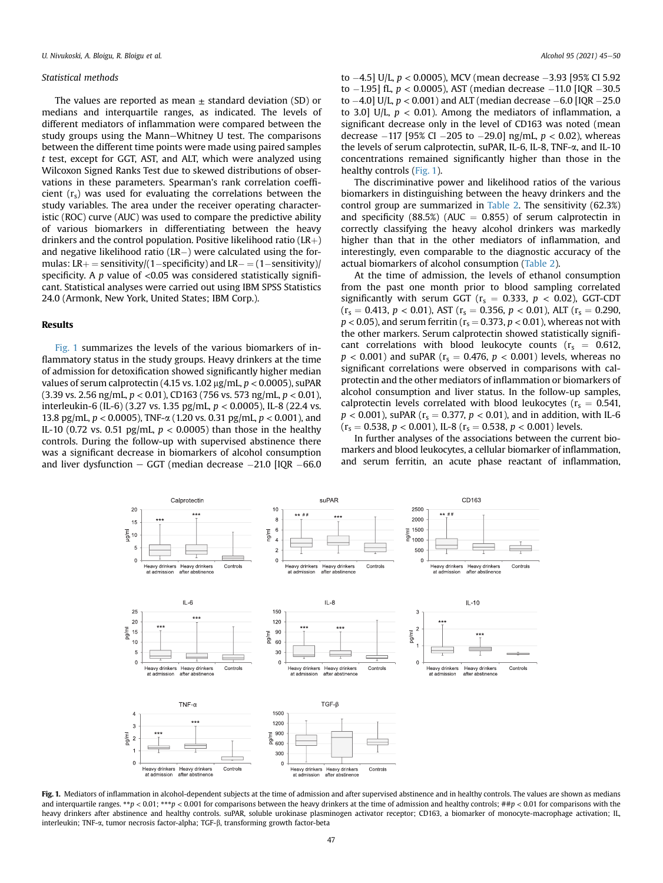#### Statistical methods

The values are reported as mean  $\pm$  standard deviation (SD) or medians and interquartile ranges, as indicated. The levels of different mediators of inflammation were compared between the study groups using the Mann-Whitney U test. The comparisons between the different time points were made using paired samples t test, except for GGT, AST, and ALT, which were analyzed using Wilcoxon Signed Ranks Test due to skewed distributions of observations in these parameters. Spearman's rank correlation coefficient  $(r<sub>s</sub>)$  was used for evaluating the correlations between the study variables. The area under the receiver operating characteristic (ROC) curve (AUC) was used to compare the predictive ability of various biomarkers in differentiating between the heavy drinkers and the control population. Positive likelihood ratio ( $LR$  $+$ ) and negative likelihood ratio ( $LR-$ ) were calculated using the formulas:  $LR$  + = sensitivity/(1-specificity) and  $LR$  –  $(1$ -sensitivity)/ specificity. A  $p$  value of <0.05 was considered statistically significant. Statistical analyses were carried out using IBM SPSS Statistics 24.0 (Armonk, New York, United States; IBM Corp.).

## Results

[Fig. 1](#page-2-0) summarizes the levels of the various biomarkers of inflammatory status in the study groups. Heavy drinkers at the time of admission for detoxification showed significantly higher median values of serum calprotectin (4.15 vs. 1.02  $\mu$ g/mL, p < 0.0005), suPAR  $(3.39 \text{ vs. } 2.56 \text{ ng/mL}, p < 0.01)$ , CD163 (756 vs. 573 ng/mL,  $p < 0.01$ ), interleukin-6 (IL-6) (3.27 vs. 1.35 pg/mL,  $p < 0.0005$ ), IL-8 (22.4 vs. 13.8 pg/mL,  $p < 0.0005$ ), TNF- $\alpha$  (1.20 vs. 0.31 pg/mL,  $p < 0.001$ ), and IL-10 (0.72 vs. 0.51 pg/mL,  $p < 0.0005$ ) than those in the healthy controls. During the follow-up with supervised abstinence there was a significant decrease in biomarkers of alcohol consumption and liver dysfunction  $-$  GGT (median decrease  $-21.0$  [IQR  $-66.0$ 

to  $-4.5$ ] U/L,  $p < 0.0005$ ), MCV (mean decrease  $-3.93$  [95% CI 5.92 to  $-1.95$ ] fL,  $p < 0.0005$ ), AST (median decrease  $-11.0$  [IQR  $-30.5$ ] to  $-4.0$ ] U/L,  $p < 0.001$ ) and ALT (median decrease  $-6.0$  [IQR  $-25.0$ to 3.0] U/L,  $p < 0.01$ ). Among the mediators of inflammation, a significant decrease only in the level of CD163 was noted (mean decrease  $-117$  [95% CI  $-205$  to  $-29.0$ ] ng/mL,  $p < 0.02$ ), whereas the levels of serum calprotectin, suPAR, IL-6, IL-8, TNF-a, and IL-10 concentrations remained significantly higher than those in the healthy controls [\(Fig. 1\)](#page-2-0).

The discriminative power and likelihood ratios of the various biomarkers in distinguishing between the heavy drinkers and the control group are summarized in [Table 2](#page-3-0). The sensitivity (62.3%) and specificity (88.5%) (AUC  $=$  0.855) of serum calprotectin in correctly classifying the heavy alcohol drinkers was markedly higher than that in the other mediators of inflammation, and interestingly, even comparable to the diagnostic accuracy of the actual biomarkers of alcohol consumption ([Table 2\)](#page-3-0).

At the time of admission, the levels of ethanol consumption from the past one month prior to blood sampling correlated significantly with serum GGT ( $r_s = 0.333$ ,  $p < 0.02$ ), GGT-CDT  $(r_s = 0.413, p < 0.01)$ , AST  $(r_s = 0.356, p < 0.01)$ , ALT  $(r_s = 0.290,$  $p < 0.05$ ), and serum ferritin ( $r_s = 0.373$ ,  $p < 0.01$ ), whereas not with the other markers. Serum calprotectin showed statistically significant correlations with blood leukocyte counts ( $r_s = 0.612$ ,  $p < 0.001$ ) and suPAR ( $r_s = 0.476$ ,  $p < 0.001$ ) levels, whereas no significant correlations were observed in comparisons with calprotectin and the other mediators of inflammation or biomarkers of alcohol consumption and liver status. In the follow-up samples, calprotectin levels correlated with blood leukocytes ( $r_s = 0.541$ ,  $p < 0.001$ ), suPAR ( $r_s = 0.377$ ,  $p < 0.01$ ), and in addition, with IL-6  $(r_s = 0.538, p < 0.001)$ , IL-8  $(r_s = 0.538, p < 0.001)$  levels.

In further analyses of the associations between the current biomarkers and blood leukocytes, a cellular biomarker of inflammation, and serum ferritin, an acute phase reactant of inflammation,

<span id="page-2-0"></span>

Fig. 1. Mediators of inflammation in alcohol-dependent subjects at the time of admission and after supervised abstinence and in healthy controls. The values are shown as medians and interquartile ranges. \*\*p < 0.01; \*\*\*p < 0.001 for comparisons between the heavy drinkers at the time of admission and healthy controls; ##p < 0.01 for comparisons with the heavy drinkers after abstinence and healthy controls. suPAR, soluble urokinase plasminogen activator receptor; CD163, a biomarker of monocyte-macrophage activation; IL, interleukin; TNF-α, tumor necrosis factor-alpha; TGF-β, transforming growth factor-beta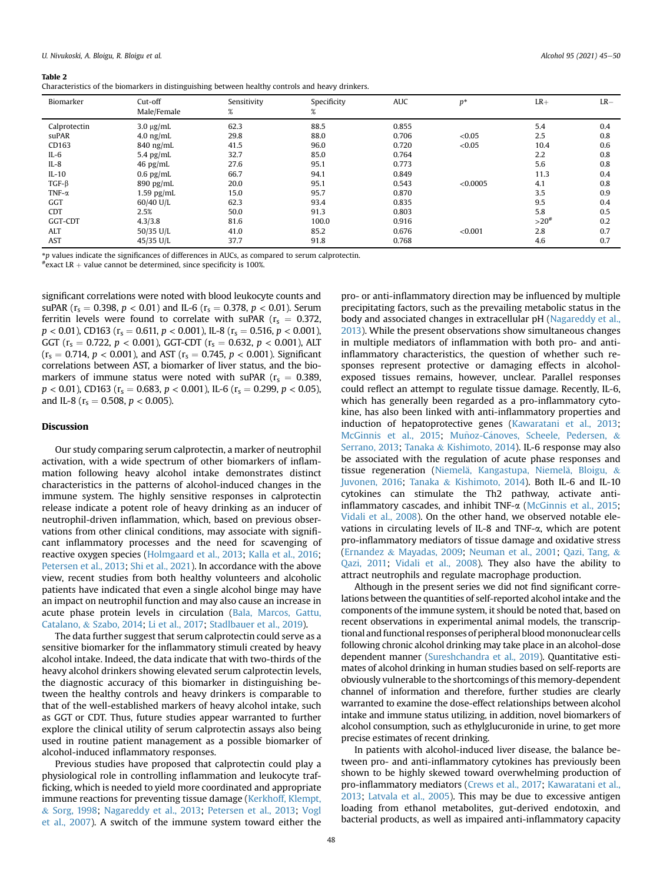#### <span id="page-3-0"></span>Table 2

Characteristics of the biomarkers in distinguishing between healthy controls and heavy drinkers.

| Biomarker     | Cut-off<br>Male/Female | Sensitivity<br>$\%$ | Specificity<br>% | <b>AUC</b> | $p^*$    | $LR+$     | $LR-$ |
|---------------|------------------------|---------------------|------------------|------------|----------|-----------|-------|
| Calprotectin  | $3.0 \mu g/mL$         | 62.3                | 88.5             | 0.855      |          | 5.4       | 0.4   |
| suPAR         | $4.0$ ng/mL            | 29.8                | 88.0             | 0.706      | < 0.05   | 2.5       | 0.8   |
| CD163         | $840$ ng/mL            | 41.5                | 96.0             | 0.720      | < 0.05   | 10.4      | 0.6   |
| $IL-6$        | 5.4 $pg/mL$            | 32.7                | 85.0             | 0.764      |          | 2.2       | 0.8   |
| $IL-8$        | $46$ pg/mL             | 27.6                | 95.1             | 0.773      |          | 5.6       | 0.8   |
| $IL-10$       | $0.6$ pg/mL            | 66.7                | 94.1             | 0.849      |          | 11.3      | 0.4   |
| $TGF-\beta$   | $890$ pg/mL            | 20.0                | 95.1             | 0.543      | < 0.0005 | 4.1       | 0.8   |
| TNF- $\alpha$ | $1.59$ pg/mL           | 15.0                | 95.7             | 0.870      |          | 3.5       | 0.9   |
| GGT           | 60/40 U/L              | 62.3                | 93.4             | 0.835      |          | 9.5       | 0.4   |
| <b>CDT</b>    | 2.5%                   | 50.0                | 91.3             | 0.803      |          | 5.8       | 0.5   |
| GGT-CDT       | 4.3/3.8                | 81.6                | 100.0            | 0.916      |          | $>20^{#}$ | 0.2   |
| <b>ALT</b>    | 50/35 U/L              | 41.0                | 85.2             | 0.676      | < 0.001  | 2.8       | 0.7   |
| <b>AST</b>    | 45/35 U/L              | 37.7                | 91.8             | 0.768      |          | 4.6       | 0.7   |

\*p values indicate the significances of differences in AUCs, as compared to serum calprotectin.

 $*$ exact LR  $+$  value cannot be determined, since specificity is 100%.

significant correlations were noted with blood leukocyte counts and suPAR ( $r_s = 0.398$ ,  $p < 0.01$ ) and IL-6 ( $r_s = 0.378$ ,  $p < 0.01$ ). Serum ferritin levels were found to correlate with suPAR ( $r_s = 0.372$ ,  $p < 0.01$ ), CD163 ( $r_s = 0.611$ ,  $p < 0.001$ ), IL-8 ( $r_s = 0.516$ ,  $p < 0.001$ ), GGT ( $r_s = 0.722$ ,  $p < 0.001$ ), GGT-CDT ( $r_s = 0.632$ ,  $p < 0.001$ ), ALT  $(r_s = 0.714, p < 0.001)$ , and AST  $(r_s = 0.745, p < 0.001)$ . Significant correlations between AST, a biomarker of liver status, and the biomarkers of immune status were noted with suPAR ( $r_s = 0.389$ ,  $p < 0.01$ ), CD163 ( $r_s = 0.683$ ,  $p < 0.001$ ), IL-6 ( $r_s = 0.299$ ,  $p < 0.05$ ), and IL-8 ( $r_s = 0.508$ ,  $p < 0.005$ ).

## **Discussion**

Our study comparing serum calprotectin, a marker of neutrophil activation, with a wide spectrum of other biomarkers of inflammation following heavy alcohol intake demonstrates distinct characteristics in the patterns of alcohol-induced changes in the immune system. The highly sensitive responses in calprotectin release indicate a potent role of heavy drinking as an inducer of neutrophil-driven inflammation, which, based on previous observations from other clinical conditions, may associate with significant inflammatory processes and the need for scavenging of reactive oxygen species [\(Holmgaard et al., 2013;](#page-5-8) [Kalla et al., 2016;](#page-5-17) [Petersen et al., 2013](#page-5-10); [Shi et al., 2021\)](#page-5-12). In accordance with the above view, recent studies from both healthy volunteers and alcoholic patients have indicated that even a single alcohol binge may have an impact on neutrophil function and may also cause an increase in acute phase protein levels in circulation [\(Bala, Marcos, Gattu,](#page-4-5) [Catalano,](#page-4-5) & [Szabo, 2014](#page-4-5); [Li et al., 2017](#page-5-18); [Stadlbauer et al., 2019\)](#page-5-19).

The data further suggest that serum calprotectin could serve as a sensitive biomarker for the inflammatory stimuli created by heavy alcohol intake. Indeed, the data indicate that with two-thirds of the heavy alcohol drinkers showing elevated serum calprotectin levels, the diagnostic accuracy of this biomarker in distinguishing between the healthy controls and heavy drinkers is comparable to that of the well-established markers of heavy alcohol intake, such as GGT or CDT. Thus, future studies appear warranted to further explore the clinical utility of serum calprotectin assays also being used in routine patient management as a possible biomarker of alcohol-induced inflammatory responses.

Previous studies have proposed that calprotectin could play a physiological role in controlling inflammation and leukocyte trafficking, which is needed to yield more coordinated and appropriate immune reactions for preventing tissue damage ([Kerkhoff, Klempt,](#page-5-20) & [Sorg, 1998](#page-5-20); [Nagareddy et al., 2013](#page-5-9); [Petersen et al., 2013](#page-5-10); [Vogl](#page-5-13) [et al., 2007\)](#page-5-13). A switch of the immune system toward either the

pro- or anti-inflammatory direction may be influenced by multiple precipitating factors, such as the prevailing metabolic status in the body and associated changes in extracellular pH [\(Nagareddy et al.,](#page-5-9) [2013\)](#page-5-9). While the present observations show simultaneous changes in multiple mediators of inflammation with both pro- and antiinflammatory characteristics, the question of whether such responses represent protective or damaging effects in alcoholexposed tissues remains, however, unclear. Parallel responses could reflect an attempt to regulate tissue damage. Recently, IL-6, which has generally been regarded as a pro-inflammatory cytokine, has also been linked with anti-inflammatory properties and induction of hepatoprotective genes [\(Kawaratani et al., 2013;](#page-5-21) [McGinnis et al., 2015;](#page-5-22) Muñoz-Cánoves, Scheele, Pedersen, & [Serrano, 2013](#page-5-23); [Tanaka](#page-5-24) & [Kishimoto, 2014](#page-5-24)). IL-6 response may also be associated with the regulation of acute phase responses and tissue regeneration (Niemelä, Kangastupa, Niemelä[, Bloigu,](#page-5-25) & [Juvonen, 2016](#page-5-25); [Tanaka](#page-5-24) & [Kishimoto, 2014\)](#page-5-24). Both IL-6 and IL-10 cytokines can stimulate the Th2 pathway, activate antiinflammatory cascades, and inhibit TNF- $\alpha$  [\(McGinnis et al., 2015;](#page-5-22) [Vidali et al., 2008\)](#page-5-26). On the other hand, we observed notable elevations in circulating levels of IL-8 and TNF-a, which are potent pro-inflammatory mediators of tissue damage and oxidative stress ([Ernandez](#page-5-27) & [Mayadas, 2009;](#page-5-27) [Neuman et al., 2001](#page-5-28); [Qazi, Tang,](#page-5-29) & [Qazi, 2011;](#page-5-29) [Vidali et al., 2008\)](#page-5-26). They also have the ability to attract neutrophils and regulate macrophage production.

Although in the present series we did not find significant correlations between the quantities of self-reported alcohol intake and the components of the immune system, it should be noted that, based on recent observations in experimental animal models, the transcriptional and functional responses of peripheral blood mononuclear cells following chronic alcohol drinking may take place in an alcohol-dose dependent manner ([Sureshchandra et al., 2019](#page-5-7)). Quantitative estimates of alcohol drinking in human studies based on self-reports are obviously vulnerable to the shortcomings of this memory-dependent channel of information and therefore, further studies are clearly warranted to examine the dose-effect relationships between alcohol intake and immune status utilizing, in addition, novel biomarkers of alcohol consumption, such as ethylglucuronide in urine, to get more precise estimates of recent drinking.

In patients with alcohol-induced liver disease, the balance between pro- and anti-inflammatory cytokines has previously been shown to be highly skewed toward overwhelming production of pro-inflammatory mediators [\(Crews et al., 2017;](#page-5-2) [Kawaratani et al.,](#page-5-21) [2013;](#page-5-21) [Latvala et al., 2005](#page-5-4)). This may be due to excessive antigen loading from ethanol metabolites, gut-derived endotoxin, and bacterial products, as well as impaired anti-inflammatory capacity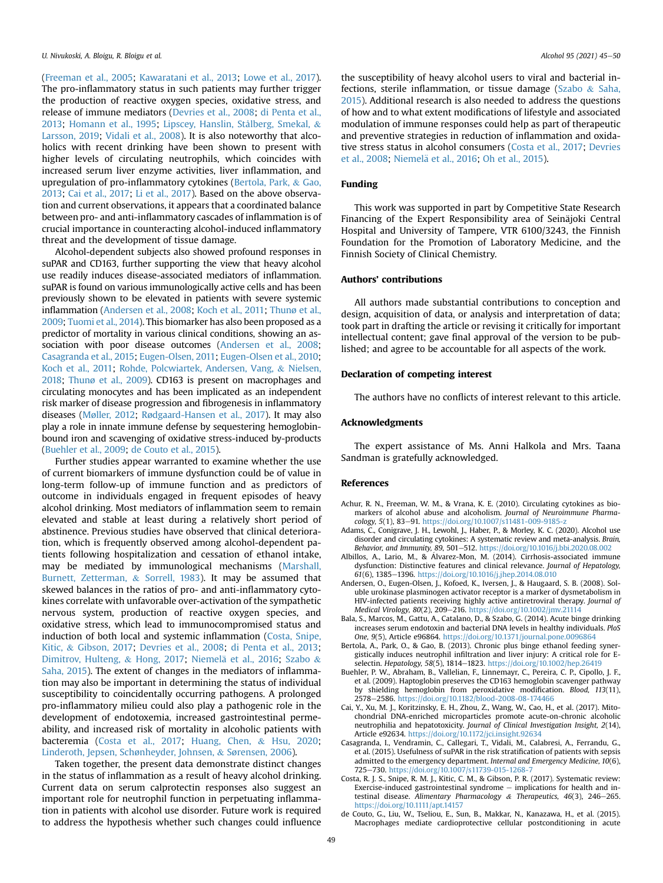([Freeman et al., 2005](#page-5-30); [Kawaratani et al., 2013](#page-5-21); [Lowe et al., 2017\)](#page-5-31). The pro-inflammatory status in such patients may further trigger the production of reactive oxygen species, oxidative stress, and release of immune mediators [\(Devries et al., 2008;](#page-5-32) [di Penta et al.,](#page-5-33) [2013;](#page-5-33) [Homann et al., 1995;](#page-5-3) [Lipscey, Hanslin, Stålberg, Smekal,](#page-5-34) & [Larsson, 2019](#page-5-34); [Vidali et al., 2008](#page-5-26)). It is also noteworthy that alcoholics with recent drinking have been shown to present with higher levels of circulating neutrophils, which coincides with increased serum liver enzyme activities, liver inflammation, and upregulation of pro-inflammatory cytokines ([Bertola, Park,](#page-4-6) & [Gao,](#page-4-6) [2013;](#page-4-6) [Cai et al., 2017](#page-4-7); [Li et al., 2017\)](#page-5-18). Based on the above observation and current observations, it appears that a coordinated balance between pro- and anti-inflammatory cascades of inflammation is of crucial importance in counteracting alcohol-induced inflammatory threat and the development of tissue damage.

Alcohol-dependent subjects also showed profound responses in suPAR and CD163, further supporting the view that heavy alcohol use readily induces disease-associated mediators of inflammation. suPAR is found on various immunologically active cells and has been previously shown to be elevated in patients with severe systemic inflammation [\(Andersen et al., 2008;](#page-4-3) [Koch et al., 2011](#page-5-14); [Thunø et al.,](#page-5-16) [2009](#page-5-16); [Tuomi et al., 2014\)](#page-5-35). This biomarker has also been proposed as a predictor of mortality in various clinical conditions, showing an association with poor disease outcomes [\(Andersen et al., 2008;](#page-4-3) [Casagranda et al., 2015;](#page-4-8) [Eugen-Olsen, 2011](#page-5-36); [Eugen-Olsen et al., 2010;](#page-5-37) [Koch et al., 2011](#page-5-14); [Rohde, Polcwiartek, Andersen, Vang,](#page-5-38) & [Nielsen,](#page-5-38) [2018](#page-5-38); [Thunø et al., 2009](#page-5-16)). CD163 is present on macrophages and circulating monocytes and has been implicated as an independent risk marker of disease progression and fibrogenesis in inflammatory diseases [\(Møller, 2012](#page-5-15); [Rødgaard-Hansen et al., 2017](#page-5-39)). It may also play a role in innate immune defense by sequestering hemoglobinbound iron and scavenging of oxidative stress-induced by-products ([Buehler et al., 2009;](#page-4-4) [de Couto et al., 2015\)](#page-4-9).

Further studies appear warranted to examine whether the use of current biomarkers of immune dysfunction could be of value in long-term follow-up of immune function and as predictors of outcome in individuals engaged in frequent episodes of heavy alcohol drinking. Most mediators of inflammation seem to remain elevated and stable at least during a relatively short period of abstinence. Previous studies have observed that clinical deterioration, which is frequently observed among alcohol-dependent patients following hospitalization and cessation of ethanol intake, may be mediated by immunological mechanisms ([Marshall,](#page-5-40) [Burnett, Zetterman,](#page-5-40) & [Sorrell, 1983\)](#page-5-40). It may be assumed that skewed balances in the ratios of pro- and anti-inflammatory cytokines correlate with unfavorable over-activation of the sympathetic nervous system, production of reactive oxygen species, and oxidative stress, which lead to immunocompromised status and induction of both local and systemic inflammation [\(Costa, Snipe,](#page-4-10) [Kitic,](#page-4-10) & [Gibson, 2017](#page-4-10); [Devries et al., 2008](#page-5-32); [di Penta et al., 2013;](#page-5-33) [Dimitrov, Hulteng,](#page-5-41) & [Hong, 2017;](#page-5-41) Niemelä et al., 2016; [Szabo](#page-5-1) & [Saha, 2015](#page-5-1)). The extent of changes in the mediators of inflammation may also be important in determining the status of individual susceptibility to coincidentally occurring pathogens. A prolonged pro-inflammatory milieu could also play a pathogenic role in the development of endotoxemia, increased gastrointestinal permeability, and increased risk of mortality in alcoholic patients with bacteremia ([Costa et al., 2017;](#page-4-10) [Huang, Chen,](#page-5-42) & [Hsu, 2020;](#page-5-42) [Linderoth, Jepsen, Schønheyder, Johnsen,](#page-5-43) & [Sørensen, 2006](#page-5-43)).

Taken together, the present data demonstrate distinct changes in the status of inflammation as a result of heavy alcohol drinking. Current data on serum calprotectin responses also suggest an important role for neutrophil function in perpetuating inflammation in patients with alcohol use disorder. Future work is required to address the hypothesis whether such changes could influence

the susceptibility of heavy alcohol users to viral and bacterial infections, sterile inflammation, or tissue damage ([Szabo](#page-5-1) & [Saha,](#page-5-1) [2015\)](#page-5-1). Additional research is also needed to address the questions of how and to what extent modifications of lifestyle and associated modulation of immune responses could help as part of therapeutic and preventive strategies in reduction of inflammation and oxidative stress status in alcohol consumers [\(Costa et al., 2017;](#page-4-10) [Devries](#page-5-32) [et al., 2008;](#page-5-32) Niemelä et al., 2016; [Oh et al., 2015](#page-5-44)).

#### Funding

This work was supported in part by Competitive State Research Financing of the Expert Responsibility area of Seinajoki Central Hospital and University of Tampere, VTR 6100/3243, the Finnish Foundation for the Promotion of Laboratory Medicine, and the Finnish Society of Clinical Chemistry.

## Authors' contributions

All authors made substantial contributions to conception and design, acquisition of data, or analysis and interpretation of data; took part in drafting the article or revising it critically for important intellectual content; gave final approval of the version to be published; and agree to be accountable for all aspects of the work.

## Declaration of competing interest

The authors have no conflicts of interest relevant to this article.

#### Acknowledgments

The expert assistance of Ms. Anni Halkola and Mrs. Taana Sandman is gratefully acknowledged.

#### References

- <span id="page-4-2"></span>Achur, R. N., Freeman, W. M., & Vrana, K. E. (2010). Circulating cytokines as biomarkers of alcohol abuse and alcoholism. Journal of Neuroimmune Pharmacology, 5(1), 83-91. <https://doi.org/10.1007/s11481-009-9185-z>
- <span id="page-4-0"></span>Adams, C., Conigrave, J. H., Lewohl, J., Haber, P., & Morley, K. C. (2020). Alcohol use disorder and circulating cytokines: A systematic review and meta-analysis. Brain, Behavior, and Immunity, 89, 501-512. <https://doi.org/10.1016/j.bbi.2020.08.002>
- <span id="page-4-1"></span>Albillos, A., Lario, M., & Álvarez-Mon, M. (2014). Cirrhosis-associated immune dysfunction: Distinctive features and clinical relevance. Journal of Hepatology, 61(6), 1385-1396. <https://doi.org/10.1016/j.jhep.2014.08.010>
- <span id="page-4-3"></span>Andersen, O., Eugen-Olsen, J., Kofoed, K., Iversen, J., & Haugaard, S. B. (2008). Soluble urokinase plasminogen activator receptor is a marker of dysmetabolism in HIV-infected patients receiving highly active antiretroviral therapy. Journal of Medical Virology, 80(2), 209-216. <https://doi.org/10.1002/jmv.21114>
- <span id="page-4-5"></span>Bala, S., Marcos, M., Gattu, A., Catalano, D., & Szabo, G. (2014). Acute binge drinking increases serum endotoxin and bacterial DNA levels in healthy individuals. PloS One, 9(5), Article e96864. <https://doi.org/10.1371/journal.pone.0096864>
- <span id="page-4-6"></span>Bertola, A., Park, O., & Gao, B. (2013). Chronic plus binge ethanol feeding synergistically induces neutrophil infiltration and liver injury: A critical role for E-
- <span id="page-4-4"></span>selectin. Hepatology, 58(5), 1814–1823. <https://doi.org/10.1002/hep.26419><br>Buehler, P. W., Abraham, B., Vallelian, F., Linnemayr, C., Pereira, C. P., Cipollo, J. F. et al. (2009). Haptoglobin preserves the CD163 hemoglobin scavenger pathway by shielding hemoglobin from peroxidative modification. Blood, 113(11), 2578–2586. <https://doi.org/10.1182/blood-2008-08-174466>
- <span id="page-4-7"></span>Cai, Y., Xu, M. J., Koritzinsky, E. H., Zhou, Z., Wang, W., Cao, H., et al. (2017). Mitochondrial DNA-enriched microparticles promote acute-on-chronic alcoholic neutrophilia and hepatotoxicity. Journal of Clinical Investigation Insight, 2(14), Article e92634. <https://doi.org/10.1172/jci.insight.92634>
- <span id="page-4-8"></span>Casagranda, I., Vendramin, C., Callegari, T., Vidali, M., Calabresi, A., Ferrandu, G., et al. (2015). Usefulness of suPAR in the risk stratification of patients with sepsis admitted to the emergency department. Internal and Emergency Medicine, 10(6), 725-730. https://doi.org/10.1007/s11739-015-1268-
- <span id="page-4-10"></span>Costa, R. J. S., Snipe, R. M. J., Kitic, C. M., & Gibson, P. R. (2017). Systematic review: Exercise-induced gastrointestinal syndrome  $-$  implications for health and intestinal disease. Alimentary Pharmacology & Therapeutics, 46(3), 246-265. <https://doi.org/10.1111/apt.14157>
- <span id="page-4-9"></span>de Couto, G., Liu, W., Tseliou, E., Sun, B., Makkar, N., Kanazawa, H., et al. (2015). Macrophages mediate cardioprotective cellular postconditioning in acute